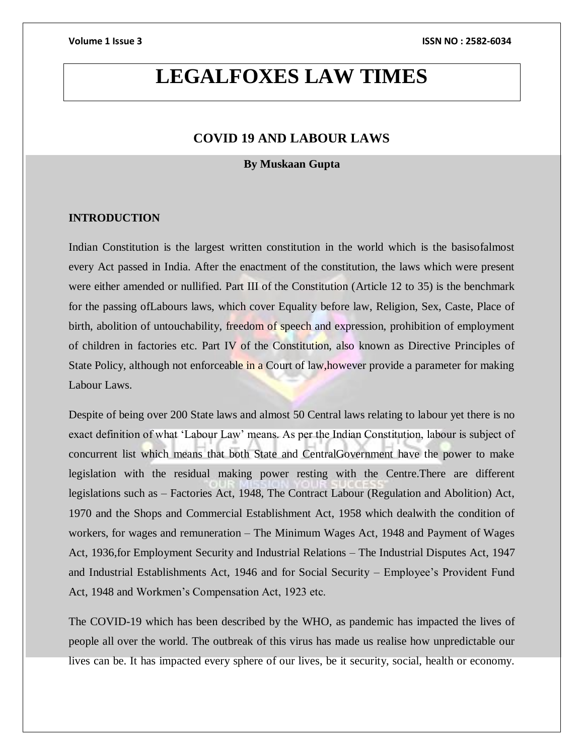# **LEGALFOXES LAW TIMES**

### **COVID 19 AND LABOUR LAWS**

### **By Muskaan Gupta**

### **INTRODUCTION**

Indian Constitution is the largest written constitution in the world which is the basisofalmost every Act passed in India. After the enactment of the constitution, the laws which were present were either amended or nullified. Part III of the Constitution (Article 12 to 35) is the benchmark for the passing ofLabours laws, which cover Equality before law, Religion, Sex, Caste, Place of birth, abolition of untouchability, freedom of speech and expression, prohibition of employment of children in factories etc. Part IV of the Constitution, also known as Directive Principles of State Policy, although not enforceable in a Court of law, however provide a parameter for making Labour Laws.

Despite of being over 200 State laws and almost 50 Central laws relating to labour yet there is no exact definition of what 'Labour Law' means. As per the Indian Constitution, labour is subject of concurrent list which means that both State and CentralGovernment have the power to make legislation with the residual making power resting with the Centre.There are different legislations such as – Factories Act, 1948, The Contract Labour (Regulation and Abolition) Act, 1970 and the Shops and Commercial Establishment Act, 1958 which dealwith the condition of workers, for wages and remuneration – The Minimum Wages Act, 1948 and Payment of Wages Act, 1936,for Employment Security and Industrial Relations – The Industrial Disputes Act, 1947 and Industrial Establishments Act, 1946 and for Social Security – Employee's Provident Fund Act, 1948 and Workmen's Compensation Act, 1923 etc.

The COVID-19 which has been described by the WHO, as pandemic has impacted the lives of people all over the world. The outbreak of this virus has made us realise how unpredictable our lives can be. It has impacted every sphere of our lives, be it security, social, health or economy.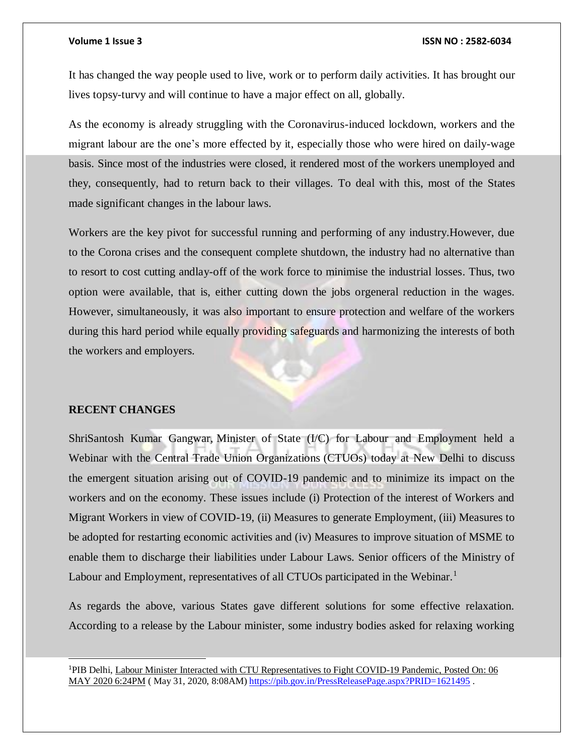It has changed the way people used to live, work or to perform daily activities. It has brought our lives topsy-turvy and will continue to have a major effect on all, globally.

As the economy is already struggling with the Coronavirus-induced lockdown, workers and the migrant labour are the one's more effected by it, especially those who were hired on daily-wage basis. Since most of the industries were closed, it rendered most of the workers unemployed and they, consequently, had to return back to their villages. To deal with this, most of the States made significant changes in the labour laws.

Workers are the key pivot for successful running and performing of any industry.However, due to the Corona crises and the consequent complete shutdown, the industry had no alternative than to resort to cost cutting andlay-off of the work force to minimise the industrial losses. Thus, two option were available, that is, either cutting down the jobs orgeneral reduction in the wages. However, simultaneously, it was also important to ensure protection and welfare of the workers during this hard period while equally providing safeguards and harmonizing the interests of both the workers and employers.

### **RECENT CHANGES**

l

ShriSantosh Kumar Gangwar, Minister of State (I/C) for Labour and Employment held a Webinar with the Central Trade Union Organizations (CTUOs) today at New Delhi to discuss the emergent situation arising out of COVID-19 pandemic and to minimize its impact on the workers and on the economy. These issues include (i) Protection of the interest of Workers and Migrant Workers in view of COVID-19, (ii) Measures to generate Employment, (iii) Measures to be adopted for restarting economic activities and (iv) Measures to improve situation of MSME to enable them to discharge their liabilities under Labour Laws. Senior officers of the Ministry of Labour and Employment, representatives of all CTUOs participated in the Webinar.<sup>1</sup>

As regards the above, various States gave different solutions for some effective relaxation. According to a release by the Labour minister, some industry bodies asked for relaxing working

<sup>1</sup>PIB Delhi, Labour Minister Interacted with CTU Representatives to Fight COVID-19 Pandemic, Posted On: 06 MAY 2020 6:24PM ( May 31, 2020, 8:08AM[\) https://pib.gov.in/PressReleasePage.aspx?PRID=1621495](https://pib.gov.in/PressReleasePage.aspx?PRID=1621495) .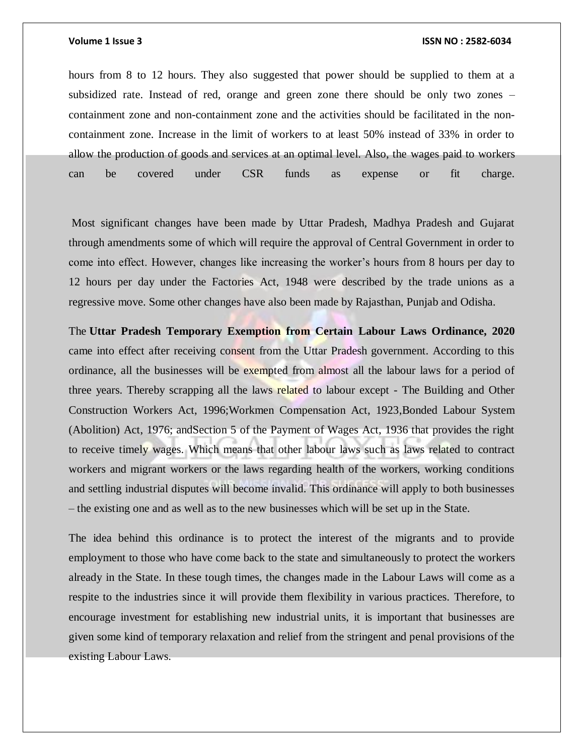hours from 8 to 12 hours. They also suggested that power should be supplied to them at a subsidized rate. Instead of red, orange and green zone there should be only two zones – containment zone and non-containment zone and the activities should be facilitated in the noncontainment zone. Increase in the limit of workers to at least 50% instead of 33% in order to allow the production of goods and services at an optimal level. Also, the wages paid to workers can be covered under CSR funds as expense or fit charge.

Most significant changes have been made by Uttar Pradesh, Madhya Pradesh and Gujarat through amendments some of which will require the approval of Central Government in order to come into effect. However, changes like increasing the worker's hours from 8 hours per day to 12 hours per day under the Factories Act, 1948 were described by the trade unions as a regressive move. Some other changes have also been made by Rajasthan, Punjab and Odisha.

The **Uttar Pradesh Temporary Exemption from Certain Labour Laws Ordinance, 2020** came into effect after receiving consent from the Uttar Pradesh government. According to this ordinance, all the businesses will be exempted from almost all the labour laws for a period of three years. Thereby scrapping all the laws related to labour except - The Building and Other Construction Workers Act, 1996;Workmen Compensation Act, 1923,Bonded Labour System (Abolition) Act, 1976; andSection 5 of the Payment of Wages Act, 1936 that provides the right to receive timely wages. Which means that other labour laws such as laws related to contract workers and migrant workers or the laws regarding health of the workers, working conditions and settling industrial disputes will become invalid. This ordinance will apply to both businesses – the existing one and as well as to the new businesses which will be set up in the State.

The idea behind this ordinance is to protect the interest of the migrants and to provide employment to those who have come back to the state and simultaneously to protect the workers already in the State. In these tough times, the changes made in the Labour Laws will come as a respite to the industries since it will provide them flexibility in various practices. Therefore, to encourage investment for establishing new industrial units, it is important that businesses are given some kind of temporary relaxation and relief from the stringent and penal provisions of the existing Labour Laws.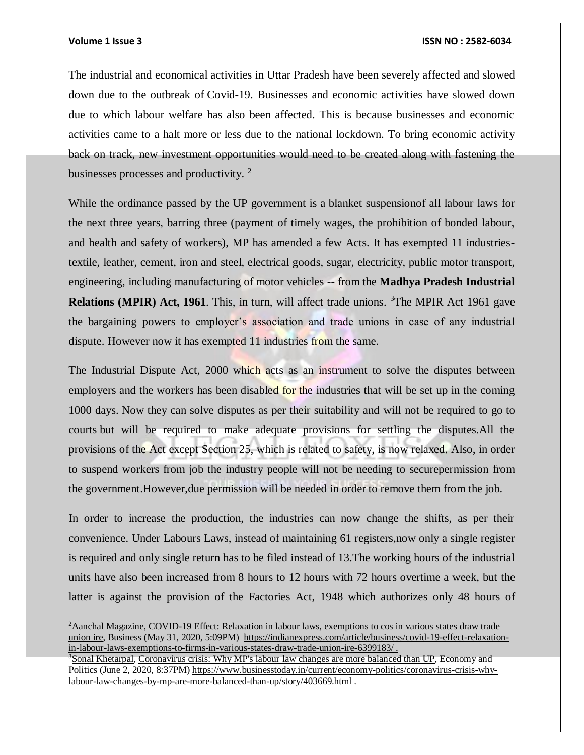$\overline{a}$ 

### **Volume 1 Issue 3 ISSN NO : 2582-6034**

The industrial and economical activities in Uttar Pradesh have been severely affected and slowed down due to the outbreak of Covid-19. Businesses and economic activities have slowed down due to which labour welfare has also been affected. This is because businesses and economic activities came to a halt more or less due to the national lockdown. To bring economic activity back on track, new investment opportunities would need to be created along with fastening the businesses processes and productivity.<sup>2</sup>

While the ordinance passed by the UP government is a blanket suspensionof all labour laws for the next three years, barring three (payment of timely wages, the prohibition of bonded labour, and health and safety of workers), MP has amended a few Acts. It has exempted 11 industriestextile, leather, cement, iron and steel, electrical goods, sugar, electricity, public motor transport, engineering, including manufacturing of motor vehicles -- from the **Madhya Pradesh Industrial**  Relations (MPIR) Act, 1961. This, in turn, will affect trade unions. <sup>3</sup>The MPIR Act 1961 gave the bargaining powers to employer's association and trade unions in case of any industrial dispute. However now it has exempted 11 industries from the same.

The Industrial Dispute Act, 2000 which acts as an instrument to solve the disputes between employers and the workers has been disabled for the industries that will be set up in the coming 1000 days. Now they can solve disputes as per their suitability and will not be required to go to courts but will be required to make adequate provisions for settling the disputes.All the provisions of the Act except Section 25, which is related to safety, is now relaxed. Also, in order to suspend workers from job the industry people will not be needing to securepermission from the government.However,due permission will be needed in order to remove them from the job.

In order to increase the production, the industries can now change the shifts, as per their convenience. Under Labours Laws, instead of maintaining 61 registers,now only a single register is required and only single return has to be filed instead of 13.The working hours of the industrial units have also been increased from 8 hours to 12 hours with 72 hours overtime a week, but the latter is against the provision of the Factories Act, 1948 which authorizes only 48 hours of

<sup>2</sup>[Aanchal Magazine,](https://indianexpress.com/profile/author/aanchal-magazine/) COVID-19 Effect: Relaxation in labour laws, exemptions to cos in various states draw trade union ire, Business (May 31, 2020, 5:09PM) [https://indianexpress.com/article/business/covid-19-effect-relaxation](https://indianexpress.com/article/business/covid-19-effect-relaxation-in-labour-laws-exemptions-to-firms-in-various-states-draw-trade-union-ire-6399183/)[in-labour-laws-exemptions-to-firms-in-various-states-draw-trade-union-ire-6399183/](https://indianexpress.com/article/business/covid-19-effect-relaxation-in-labour-laws-exemptions-to-firms-in-various-states-draw-trade-union-ire-6399183/) .

<sup>3</sup>[Sonal Khetarpal,](https://www.businesstoday.in/search.jsp?searchword=Sonal-Khetarpal&searchtype=text&searchphrase=exact&search_type=author) Coronavirus crisis: Why MP's labour law changes are more balanced than UP, Economy and Politics (June 2, 2020, 8:37PM[\) https://www.businesstoday.in/current/economy-politics/coronavirus-crisis-why](https://www.businesstoday.in/current/economy-politics/coronavirus-crisis-why-labour-law-changes-by-mp-are-more-balanced-than-up/story/403669.html)[labour-law-changes-by-mp-are-more-balanced-than-up/story/403669.html](https://www.businesstoday.in/current/economy-politics/coronavirus-crisis-why-labour-law-changes-by-mp-are-more-balanced-than-up/story/403669.html) .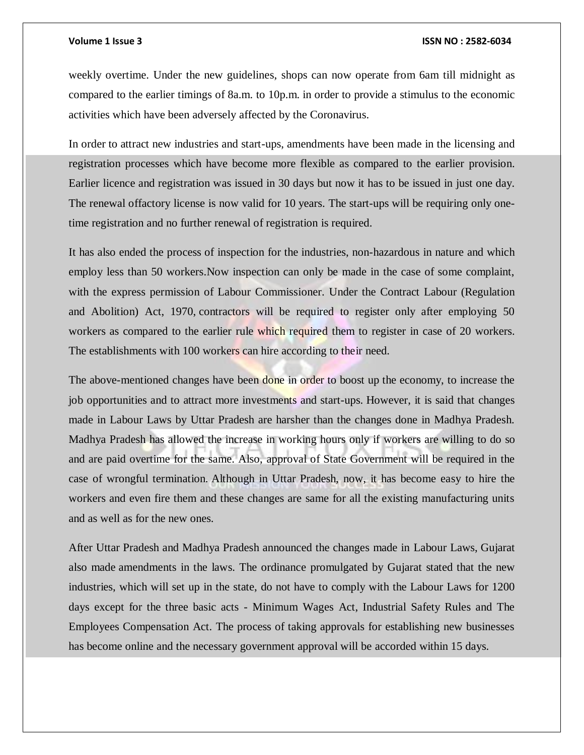weekly overtime. Under the new guidelines, shops can now operate from 6am till midnight as compared to the earlier timings of 8a.m. to 10p.m. in order to provide a stimulus to the economic activities which have been adversely affected by the Coronavirus.

In order to attract new industries and start-ups, amendments have been made in the licensing and registration processes which have become more flexible as compared to the earlier provision. Earlier licence and registration was issued in 30 days but now it has to be issued in just one day. The renewal offactory license is now valid for 10 years. The start-ups will be requiring only onetime registration and no further renewal of registration is required.

It has also ended the process of inspection for the industries, non-hazardous in nature and which employ less than 50 workers.Now inspection can only be made in the case of some complaint, with the express permission of Labour Commissioner. Under the Contract Labour (Regulation and Abolition) Act, 1970, contractors will be required to register only after employing 50 workers as compared to the earlier rule which required them to register in case of 20 workers. The establishments with 100 workers can hire according to their need.

The above-mentioned changes have been done in order to boost up the economy, to increase the job opportunities and to attract more investments and start-ups. However, it is said that changes made in Labour Laws by Uttar Pradesh are harsher than the changes done in Madhya Pradesh. Madhya Pradesh has allowed the increase in working hours only if workers are willing to do so and are paid overtime for the same. Also, approval of State Government will be required in the case of wrongful termination. Although in Uttar Pradesh, now, it has become easy to hire the workers and even fire them and these changes are same for all the existing manufacturing units and as well as for the new ones.

After Uttar Pradesh and Madhya Pradesh announced the changes made in Labour Laws, Gujarat also made amendments in the laws. The ordinance promulgated by Gujarat stated that the new industries, which will set up in the state, do not have to comply with the Labour Laws for 1200 days except for the three basic acts - Minimum Wages Act, Industrial Safety Rules and The Employees Compensation Act. The process of taking approvals for establishing new businesses has become online and the necessary government approval will be accorded within 15 days.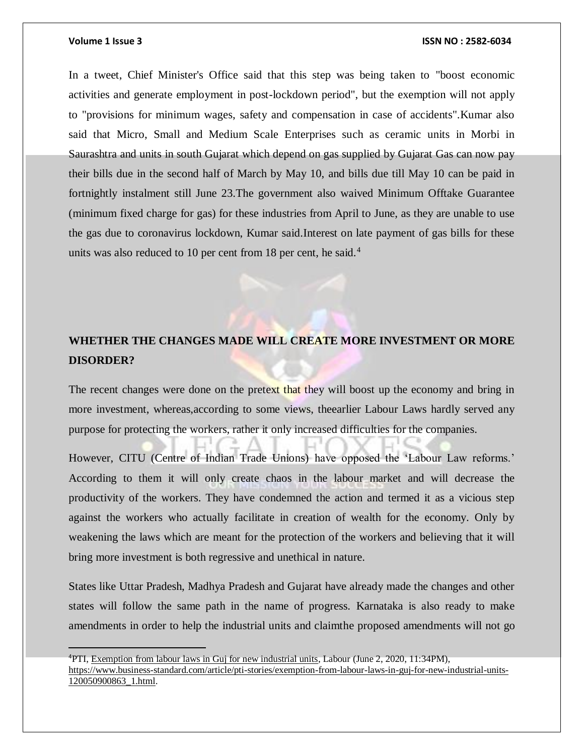### **Volume 1 Issue 3 ISSN NO : 2582-6034**

In a tweet, Chief Minister's Office said that this step was being taken to "boost economic activities and generate employment in post-lockdown period", but the exemption will not apply to "provisions for minimum wages, safety and compensation in case of accidents".Kumar also said that Micro, Small and Medium Scale Enterprises such as ceramic units in Morbi in Saurashtra and units in south Gujarat which depend on gas supplied by Gujarat Gas can now pay their bills due in the second half of March by May 10, and bills due till May 10 can be paid in fortnightly instalment still June 23.The government also waived Minimum Offtake Guarantee (minimum fixed charge for gas) for these industries from April to June, as they are unable to use the gas due to coronavirus lockdown, Kumar said.Interest on late payment of gas bills for these units was also reduced to 10 per cent from 18 per cent, he said. $4$ 

## **WHETHER THE CHANGES MADE WILL CREATE MORE INVESTMENT OR MORE DISORDER?**

The recent changes were done on the pretext that they will boost up the economy and bring in more investment, whereas,according to some views, theearlier Labour Laws hardly served any purpose for protecting the workers, rather it only increased difficulties for the companies.

However, CITU (Centre of Indian Trade Unions) have opposed the 'Labour Law reforms.' According to them it will only create chaos in the labour market and will decrease the productivity of the workers. They have condemned the action and termed it as a vicious step against the workers who actually facilitate in creation of wealth for the economy. Only by weakening the laws which are meant for the protection of the workers and believing that it will bring more investment is both regressive and unethical in nature.

States like Uttar Pradesh, Madhya Pradesh and Gujarat have already made the changes and other states will follow the same path in the name of progress. Karnataka is also ready to make amendments in order to help the industrial units and claimthe proposed amendments will not go

<sup>4</sup>PTI, Exemption from labour laws in Guj for new industrial units, Labour (June 2, 2020, 11:34PM), [https://www.business-standard.com/article/pti-stories/exemption-from-labour-laws-in-guj-for-new-industrial-units-](https://www.business-standard.com/article/pti-stories/exemption-from-labour-laws-in-guj-for-new-industrial-units-120050900863_1.html)[120050900863\\_1.html.](https://www.business-standard.com/article/pti-stories/exemption-from-labour-laws-in-guj-for-new-industrial-units-120050900863_1.html)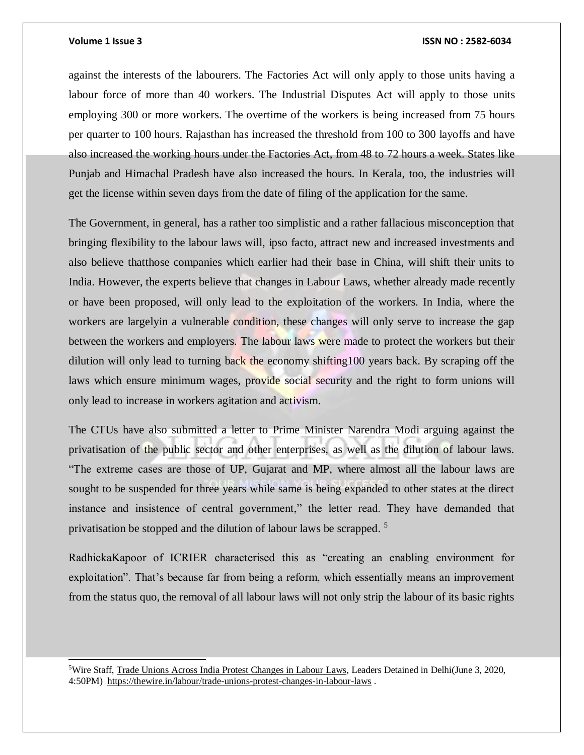l

### **Volume 1 Issue 3 ISSN NO : 2582-6034**

against the interests of the labourers. The Factories Act will only apply to those units having a labour force of more than 40 workers. The Industrial Disputes Act will apply to those units employing 300 or more workers. The overtime of the workers is being increased from 75 hours per quarter to 100 hours. Rajasthan has increased the threshold from 100 to 300 layoffs and have also increased the working hours under the Factories Act, from 48 to 72 hours a week. States like Punjab and Himachal Pradesh have also increased the hours. In Kerala, too, the industries will get the license within seven days from the date of filing of the application for the same.

The Government, in general, has a rather too simplistic and a rather fallacious misconception that bringing flexibility to the labour laws will, ipso facto, attract new and increased investments and also believe thatthose companies which earlier had their base in China, will shift their units to India. However, the experts believe that changes in Labour Laws, whether already made recently or have been proposed, will only lead to the exploitation of the workers. In India, where the workers are largelyin a vulnerable condition, these changes will only serve to increase the gap between the workers and employers. The labour laws were made to protect the workers but their dilution will only lead to turning back the economy shifting100 years back. By scraping off the laws which ensure minimum wages, provide social security and the right to form unions will only lead to increase in workers agitation and activism.

The CTUs have also submitted a letter to Prime Minister Narendra Modi arguing against the privatisation of the public sector and other enterprises, as well as the dilution of labour laws. "The extreme cases are those of UP, Gujarat and MP, where almost all the labour laws are sought to be suspended for three years while same is being expanded to other states at the direct instance and insistence of central government," the letter read. They have demanded that privatisation be stopped and the dilution of labour laws be scrapped.<sup>5</sup>

RadhickaKapoor of ICRIER characterised this as "creating an enabling environment for exploitation". That's because far from being a reform, which essentially means an improvement from the status quo, the removal of all labour laws will not only strip the labour of its basic rights

<sup>5</sup>Wire Staff, Trade Unions Across India Protest Changes in Labour Laws, Leaders Detained in Delhi(June 3, 2020, 4:50PM)<https://thewire.in/labour/trade-unions-protest-changes-in-labour-laws> .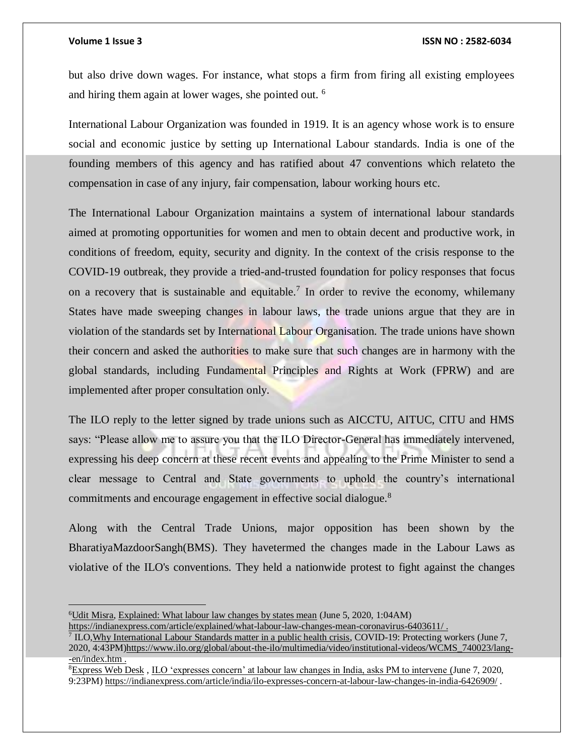$\overline{a}$ 

but also drive down wages. For instance, what stops a firm from firing all existing employees and hiring them again at lower wages, she pointed out. <sup>6</sup>

International Labour Organization was founded in 1919. It is an agency whose work is to ensure social and economic justice by setting up International Labour standards. India is one of the founding members of this agency and has ratified about 47 conventions which relateto the compensation in case of any injury, fair compensation, labour working hours etc.

The International Labour Organization maintains a system of international labour standards aimed at promoting opportunities for women and men to obtain decent and productive work, in conditions of freedom, equity, security and dignity. In the context of the crisis response to the COVID-19 outbreak, they provide a tried-and-trusted foundation for policy responses that focus on a recovery that is sustainable and equitable.<sup>7</sup> In order to revive the economy, whilemany States have made sweeping changes in labour laws, the trade unions argue that they are in violation of the standards set by International Labour Organisation. The trade unions have shown their concern and asked the authorities to make sure that such changes are in harmony with the global standards, including Fundamental Principles and Rights at Work (FPRW) and are implemented after proper consultation only.

The ILO reply to the letter signed by trade unions such as AICCTU, AITUC, CITU and HMS says: "Please allow me to assure you that the ILO Director-General has immediately intervened, expressing his deep concern at these recent events and appealing to the Prime Minister to send a clear message to Central and State governments to uphold the country's international commitments and encourage engagement in effective social dialogue.<sup>8</sup>

Along with the Central Trade Unions, major opposition has been shown by the BharatiyaMazdoorSangh(BMS). They havetermed the changes made in the Labour Laws as violative of the ILO's conventions. They held a nationwide protest to fight against the changes

<sup>6</sup>[Udit Misra,](https://indianexpress.com/profile/author/udit-misra/) Explained: What labour law changes by states mean (June 5, 2020, 1:04AM)

<https://indianexpress.com/article/explained/what-labour-law-changes-mean-coronavirus-6403611/> .

<sup>&</sup>lt;sup>7</sup> ILO, Why International Labour Standards matter in a public health crisis, COVID-19: Protecting workers (June 7, 2020, 4:43PM[\)https://www.ilo.org/global/about-the-ilo/multimedia/video/institutional-videos/WCMS\\_740023/lang-](https://www.ilo.org/global/about-the-ilo/multimedia/video/institutional-videos/WCMS_740023/lang--en/index.htm) [-en/index.htm](https://www.ilo.org/global/about-the-ilo/multimedia/video/institutional-videos/WCMS_740023/lang--en/index.htm) .

<sup>&</sup>lt;sup>8</sup>[Express Web Desk](https://indianexpress.com/agency/express-web-desk/), ILO 'expresses concern' at labour law changes in India, asks PM to intervene (June 7, 2020, 9:23PM)<https://indianexpress.com/article/india/ilo-expresses-concern-at-labour-law-changes-in-india-6426909/> .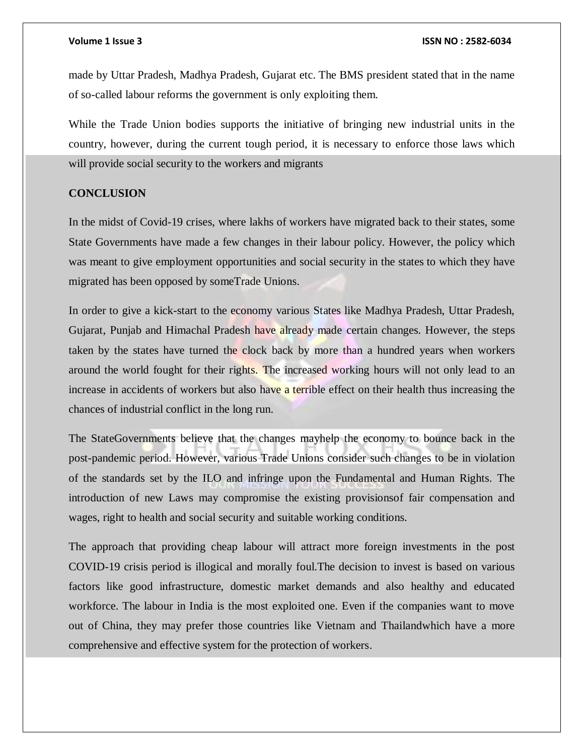made by Uttar Pradesh, Madhya Pradesh, Gujarat etc. The BMS president stated that in the name of so-called labour reforms the government is only exploiting them.

While the Trade Union bodies supports the initiative of bringing new industrial units in the country, however, during the current tough period, it is necessary to enforce those laws which will provide social security to the workers and migrants

### **CONCLUSION**

In the midst of Covid-19 crises, where lakhs of workers have migrated back to their states, some State Governments have made a few changes in their labour policy. However, the policy which was meant to give employment opportunities and social security in the states to which they have migrated has been opposed by someTrade Unions.

In order to give a kick-start to the economy various States like Madhya Pradesh, Uttar Pradesh, Gujarat, Punjab and Himachal Pradesh have already made certain changes. However, the steps taken by the states have turned the clock back by more than a hundred years when workers around the world fought for their rights. The increased working hours will not only lead to an increase in accidents of workers but also have a terrible effect on their health thus increasing the chances of industrial conflict in the long run.

The StateGovernments believe that the changes mayhelp the economy to bounce back in the post-pandemic period. However, various Trade Unions consider such changes to be in violation of the standards set by the ILO and infringe upon the Fundamental and Human Rights. The introduction of new Laws may compromise the existing provisionsof fair compensation and wages, right to health and social security and suitable working conditions.

The approach that providing cheap labour will attract more foreign investments in the post COVID-19 crisis period is illogical and morally foul.The decision to invest is based on various factors like good infrastructure, domestic market demands and also healthy and educated workforce. The labour in India is the most exploited one. Even if the companies want to move out of China, they may prefer those countries like Vietnam and Thailandwhich have a more comprehensive and effective system for the protection of workers.